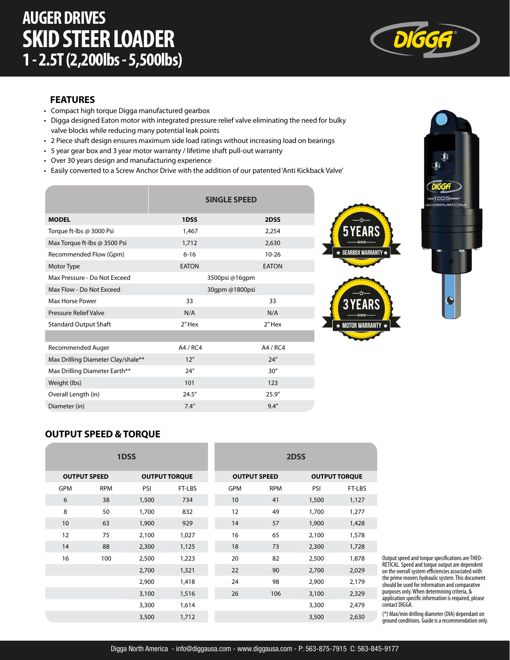

#### **FEATURES**

- Compact high torque Digga manufactured gearbox
- Digga designed Eaton motor with integrated pressure relief valve eliminating the need for bulky valve blocks while reducing many potential leak points
- 2 Piece shaft design ensures maximum side load ratings without increasing load on bearings
- 5 year gear box and 3 year motor warranty / lifetime shaft pull-out warranty
- Over 30 years design and manufacturing experience
- Easily converted to a Screw Anchor Drive with the addition of our patented 'Anti Kickback Valve'

|                                    | <b>SINGLE SPEED</b> |              |  |  |
|------------------------------------|---------------------|--------------|--|--|
| <b>MODEL</b>                       | 1DSS                | 2DSS         |  |  |
| Torque ft-lbs @ 3000 Psi           | 1,467               | 2,254        |  |  |
| Max Torque ft-lbs @ 3500 Psi       | 1,712               | 2,630        |  |  |
| Recommended Flow (Gpm)             | $6 - 16$            | $10 - 26$    |  |  |
| Motor Type                         | <b>EATON</b>        | <b>EATON</b> |  |  |
| Max Pressure - Do Not Exceed       | 3500psi @16qpm      |              |  |  |
| Max Flow - Do Not Exceed           | 30gpm @1800psi      |              |  |  |
| Max Horse Power                    | 33                  | 33           |  |  |
| <b>Pressure Relief Valve</b>       | N/A                 | N/A          |  |  |
| <b>Standard Output Shaft</b>       | 2"Hex               | 2"Hex        |  |  |
|                                    |                     |              |  |  |
| Recommended Auger                  | A4 / RC4            | A4 / RC4     |  |  |
| Max Drilling Diameter Clay/shale** | 12''                | 24''         |  |  |
| Max Drilling Diameter Earth**      | 24''                | 30''         |  |  |
| Weight (lbs)                       | 101                 | 123          |  |  |
| Overall Length (in)                | 24.5''              | 25.9''       |  |  |
| Diameter (in)                      | 7.4''               | 9.4''        |  |  |







#### **OUTPUT SPEED & TORQUE**

| 1DSS                |            |       | 2DSS                 |            |                     |       |                      |  |
|---------------------|------------|-------|----------------------|------------|---------------------|-------|----------------------|--|
| <b>OUTPUT SPEED</b> |            |       | <b>OUTPUT TORQUE</b> |            | <b>OUTPUT SPEED</b> |       | <b>OUTPUT TORQUE</b> |  |
| <b>GPM</b>          | <b>RPM</b> | PSI   | FT-LBS               | <b>GPM</b> | <b>RPM</b>          | PSI   | FT-LBS               |  |
| 6                   | 38         | 1,500 | 734                  | 10         | 41                  | 1,500 | 1,127                |  |
| 8                   | 50         | 1,700 | 832                  | 12         | 49                  | 1,700 | 1,277                |  |
| 10 <sup>°</sup>     | 63         | 1,900 | 929                  | 14         | 57                  | 1,900 | 1,428                |  |
| 12                  | 75         | 2,100 | 1,027                | 16         | 65                  | 2,100 | 1,578                |  |
| 14                  | 88         | 2,300 | 1,125                | 18         | 73                  | 2,300 | 1,728                |  |
| 16                  | 100        | 2,500 | 1,223                | 20         | 82                  | 2,500 | 1,878                |  |
|                     |            | 2,700 | 1,321                | 22         | 90                  | 2,700 | 2,029                |  |
|                     |            | 2,900 | 1,418                | 24         | 98                  | 2,900 | 2,179                |  |
|                     |            | 3,100 | 1,516                | 26         | 106                 | 3,100 | 2,329                |  |
|                     |            | 3,300 | 1,614                |            |                     | 3,300 | 2,479                |  |
|                     |            | 3,500 | 1,712                |            |                     | 3,500 | 2,630                |  |

Output speed and torque specifications are THEO-RETICAL. Speed and torque output are dependent on the overall system efficiencies associated with the prime movers hydraulic system. This document should be used for information and comparative purposes only. When determining criteria, & application specific information is required, please contact DIGGA.

(\*) Max/min drilling diameter (DIA) dependant on ground conditions. Guide is a recommendation only.